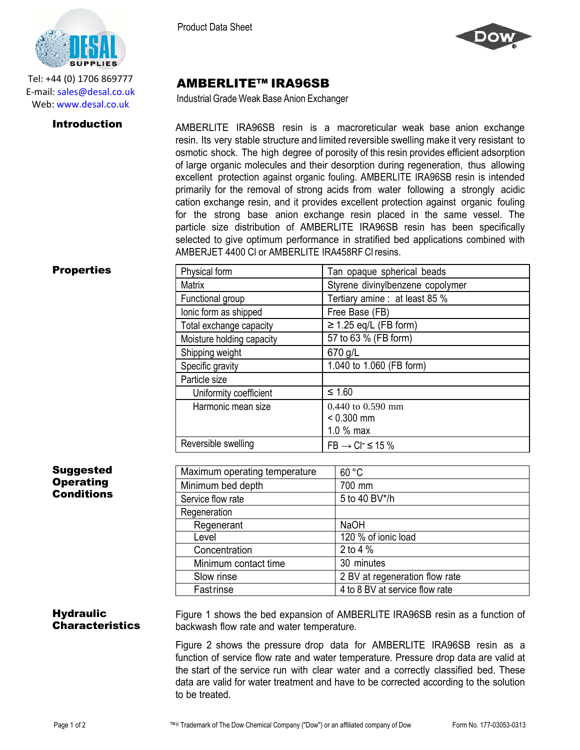

Tel: +44 (0) 1706 869777 E‐mail: sales@desal.co.uk Web: www.desal.co.uk

Product Data Sheet



# AMBERLITE™ IRA96SB

Industrial Grade Weak Base Anion Exchanger

**Introduction** AMBERLITE IRA96SB resin is a macroreticular weak base anion exchange resin. Its very stable structure and limited reversible swelling make it very resistant to osmotic shock. The high degree of porosity of this resin provides efficient adsorption of large organic molecules and their desorption during regeneration, thus allowing excellent protection against organic fouling. AMBERLITE IRA96SB resin is intended primarily for the removal of strong acids from water following a strongly acidic cation exchange resin, and it provides excellent protection against organic fouling for the strong base anion exchange resin placed in the same vessel. The particle size distribution of AMBERLITE IRA96SB resin has been specifically selected to give optimum performance in stratified bed applications combined with AMBERJET 4400 Cl or AMBERLITE IRA458RF Cl resins.

### **Properties**

| Tan opaque spherical beads        |
|-----------------------------------|
| Styrene divinylbenzene copolymer  |
| Tertiary amine : at least 85 %    |
| Free Base (FB)                    |
| $\geq$ 1.25 eq/L (FB form)        |
| 57 to 63 % (FB form)              |
| 670 g/L                           |
| 1.040 to 1.060 (FB form)          |
|                                   |
| $≤ 1.60$                          |
| 0.440 to 0.590 mm                 |
| $< 0.300$ mm                      |
| 1.0 % max                         |
| $FB \rightarrow CI^{-} \leq 15\%$ |
|                                   |

### **Suggested Operating Conditions**

| Maximum operating temperature | 60 °C                          |
|-------------------------------|--------------------------------|
| Minimum bed depth             | 700 mm                         |
| Service flow rate             | 5 to 40 BV*/h                  |
| Regeneration                  |                                |
| Regenerant                    | <b>NaOH</b>                    |
| Level                         | 120 % of ionic load            |
| Concentration                 | 2 to 4 $%$                     |
| Minimum contact time          | 30 minutes                     |
| Slow rinse                    | 2 BV at regeneration flow rate |
| Fastrinse                     | 4 to 8 BV at service flow rate |
|                               |                                |

## **Hydraulic Characteristics**

Figure 1 shows the bed expansion of AMBERLITE IRA96SB resin as a function of backwash flow rate and water temperature.

Figure 2 shows the pressure drop data for AMBERLITE IRA96SB resin as a function of service flow rate and water temperature. Pressure drop data are valid at the start of the service run with clear water and a correctly classified bed. These data are valid for water treatment and have to be corrected according to the solution to be treated.